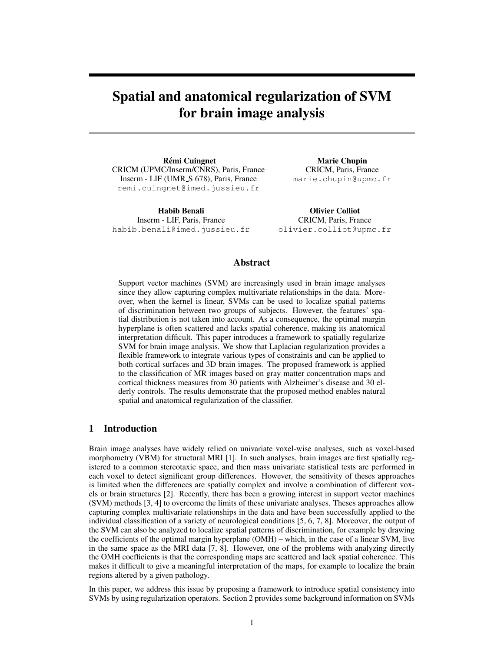# Spatial and anatomical regularization of SVM for brain image analysis

**Rémi Cuingnet** CRICM (UPMC/Inserm/CNRS), Paris, France Inserm - LIF (UMR<sub>S</sub> 678), Paris, France remi.cuingnet@imed.jussieu.fr

Habib Benali Inserm - LIF, Paris, France habib.benali@imed.jussieu.fr

Marie Chupin CRICM, Paris, France marie.chupin@upmc.fr

Olivier Colliot CRICM, Paris, France olivier.colliot@upmc.fr

## Abstract

Support vector machines (SVM) are increasingly used in brain image analyses since they allow capturing complex multivariate relationships in the data. Moreover, when the kernel is linear, SVMs can be used to localize spatial patterns of discrimination between two groups of subjects. However, the features' spatial distribution is not taken into account. As a consequence, the optimal margin hyperplane is often scattered and lacks spatial coherence, making its anatomical interpretation difficult. This paper introduces a framework to spatially regularize SVM for brain image analysis. We show that Laplacian regularization provides a flexible framework to integrate various types of constraints and can be applied to both cortical surfaces and 3D brain images. The proposed framework is applied to the classification of MR images based on gray matter concentration maps and cortical thickness measures from 30 patients with Alzheimer's disease and 30 elderly controls. The results demonstrate that the proposed method enables natural spatial and anatomical regularization of the classifier.

## 1 Introduction

Brain image analyses have widely relied on univariate voxel-wise analyses, such as voxel-based morphometry (VBM) for structural MRI [1]. In such analyses, brain images are first spatially registered to a common stereotaxic space, and then mass univariate statistical tests are performed in each voxel to detect significant group differences. However, the sensitivity of theses approaches is limited when the differences are spatially complex and involve a combination of different voxels or brain structures [2]. Recently, there has been a growing interest in support vector machines (SVM) methods [3, 4] to overcome the limits of these univariate analyses. Theses approaches allow capturing complex multivariate relationships in the data and have been successfully applied to the individual classification of a variety of neurological conditions [5, 6, 7, 8]. Moreover, the output of the SVM can also be analyzed to localize spatial patterns of discrimination, for example by drawing the coefficients of the optimal margin hyperplane (OMH) – which, in the case of a linear SVM, live in the same space as the MRI data [7, 8]. However, one of the problems with analyzing directly the OMH coefficients is that the corresponding maps are scattered and lack spatial coherence. This makes it difficult to give a meaningful interpretation of the maps, for example to localize the brain regions altered by a given pathology.

In this paper, we address this issue by proposing a framework to introduce spatial consistency into SVMs by using regularization operators. Section 2 provides some background information on SVMs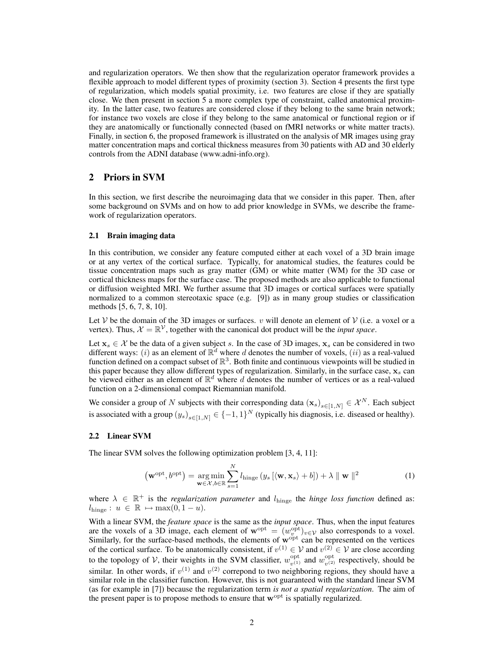and regularization operators. We then show that the regularization operator framework provides a flexible approach to model different types of proximity (section 3). Section 4 presents the first type of regularization, which models spatial proximity, i.e. two features are close if they are spatially close. We then present in section 5 a more complex type of constraint, called anatomical proximity. In the latter case, two features are considered close if they belong to the same brain network; for instance two voxels are close if they belong to the same anatomical or functional region or if they are anatomically or functionally connected (based on fMRI networks or white matter tracts). Finally, in section 6, the proposed framework is illustrated on the analysis of MR images using gray matter concentration maps and cortical thickness measures from 30 patients with AD and 30 elderly controls from the ADNI database (www.adni-info.org).

## 2 Priors in SVM

In this section, we first describe the neuroimaging data that we consider in this paper. Then, after some background on SVMs and on how to add prior knowledge in SVMs, we describe the framework of regularization operators.

#### 2.1 Brain imaging data

In this contribution, we consider any feature computed either at each voxel of a 3D brain image or at any vertex of the cortical surface. Typically, for anatomical studies, the features could be tissue concentration maps such as gray matter (GM) or white matter (WM) for the 3D case or cortical thickness maps for the surface case. The proposed methods are also applicable to functional or diffusion weighted MRI. We further assume that 3D images or cortical surfaces were spatially normalized to a common stereotaxic space (e.g. [9]) as in many group studies or classification methods [5, 6, 7, 8, 10].

Let V be the domain of the 3D images or surfaces.  $v$  will denote an element of V (i.e. a voxel or a vertex). Thus,  $\mathcal{X} = \mathbb{R}^{\mathcal{V}}$ , together with the canonical dot product will be the *input space*.

Let  $x_s \in \mathcal{X}$  be the data of a given subject s. In the case of 3D images,  $x_s$  can be considered in two different ways: (*i*) as an element of  $\mathbb{R}^d$  where d denotes the number of voxels, (*ii*) as a real-valued function defined on a compact subset of  $\mathbb{R}^3$ . Both finite and continuous viewpoints will be studied in this paper because they allow different types of regularization. Similarly, in the surface case,  $x_s$  can be viewed either as an element of  $\mathbb{R}^d$  where d denotes the number of vertices or as a real-valued function on a 2-dimensional compact Riemannian manifold.

We consider a group of N subjects with their corresponding data  $(\mathbf{x}_s)_{s \in [1,N]} \in \mathcal{X}^N$ . Each subject is associated with a group  $(y_s)_{s \in [1,N]} \in \{-1,1\}^N$  (typically his diagnosis, i.e. diseased or healthy).

#### 2.2 Linear SVM

The linear SVM solves the following optimization problem [3, 4, 11]:

$$
\left(\mathbf{w}^{\mathrm{opt}}, b^{\mathrm{opt}}\right) = \underset{\mathbf{w} \in \mathcal{X}, b \in \mathbb{R}}{\arg \min} \sum_{s=1}^{N} l_{\mathrm{hinge}} \left(y_s \left[ \langle \mathbf{w}, \mathbf{x}_s \rangle + b\right] \right) + \lambda \parallel \mathbf{w} \parallel^2
$$
 (1)

where  $\lambda \in \mathbb{R}^+$  is the *regularization parameter* and  $l_{\text{hinge}}$  the *hinge loss function* defined as:  $l_{\text{hinge}}: u \in \mathbb{R} \mapsto \max(0, 1 - u).$ 

With a linear SVM, the *feature space* is the same as the *input space*. Thus, when the input features are the voxels of a 3D image, each element of  $\mathbf{w}^{\text{opt}} = (w_v^{\text{opt}})_{v \in \mathcal{V}}$  also corresponds to a voxel. Similarly, for the surface-based methods, the elements of  $\overrightarrow{w}^{opt}$  can be represented on the vertices of the cortical surface. To be anatomically consistent, if  $v^{(1)} \in V$  and  $v^{(2)} \in V$  are close according to the topology of V, their weights in the SVM classifier,  $w_{n(1)}^{\text{opt}}$  $v_{v^{(1)}}^{\text{opt}}$  and  $w_{v^{(2)}}^{\text{opt}}$  $v_{\nu^{(2)}}^{\text{opt}}$  respectively, should be similar. In other words, if  $v^{(1)}$  and  $v^{(2)}$  correpond to two neighboring regions, they should have a similar role in the classifier function. However, this is not guaranteed with the standard linear SVM (as for example in [7]) because the regularization term *is not a spatial regularization*. The aim of the present paper is to propose methods to ensure that  $w^{\text{opt}}$  is spatially regularized.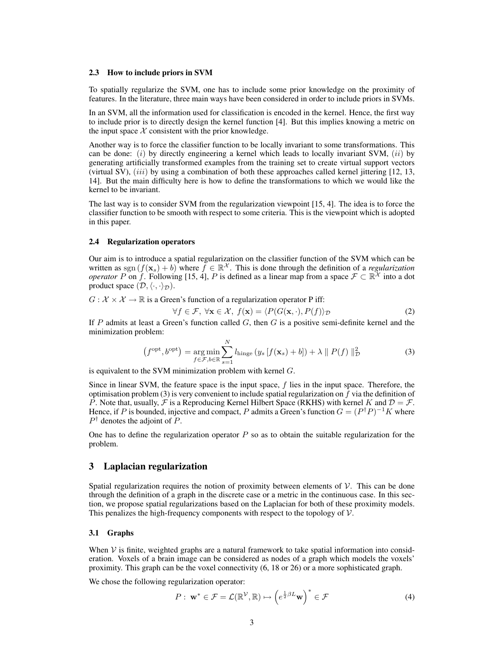#### 2.3 How to include priors in SVM

To spatially regularize the SVM, one has to include some prior knowledge on the proximity of features. In the literature, three main ways have been considered in order to include priors in SVMs.

In an SVM, all the information used for classification is encoded in the kernel. Hence, the first way to include prior is to directly design the kernel function [4]. But this implies knowing a metric on the input space  $X$  consistent with the prior knowledge.

Another way is to force the classifier function to be locally invariant to some transformations. This can be done:  $(i)$  by directly engineering a kernel which leads to locally invariant SVM,  $(ii)$  by generating artificially transformed examples from the training set to create virtual support vectors (virtual SV),  $(iii)$  by using a combination of both these approaches called kernel jittering  $[12, 13, 13]$ 14]. But the main difficulty here is how to define the transformations to which we would like the kernel to be invariant.

The last way is to consider SVM from the regularization viewpoint [15, 4]. The idea is to force the classifier function to be smooth with respect to some criteria. This is the viewpoint which is adopted in this paper.

#### 2.4 Regularization operators

Our aim is to introduce a spatial regularization on the classifier function of the SVM which can be written as sgn  $(f(\mathbf{x}_s) + b)$  where  $\tilde{f} \in \mathbb{R}^{\mathcal{X}}$ . This is done through the definition of a *regularization operator* P on f. Following [15, 4], P is defined as a linear map from a space  $\mathcal{F} \subset \mathbb{R}^{\mathcal{X}}$  into a dot product space  $(\mathcal{D}, \langle \cdot, \cdot \rangle_{\mathcal{D}})$ .

 $G: \mathcal{X} \times \mathcal{X} \to \mathbb{R}$  is a Green's function of a regularization operator P iff:

$$
\forall f \in \mathcal{F}, \ \forall \mathbf{x} \in \mathcal{X}, \ f(\mathbf{x}) = \langle P(G(\mathbf{x}, \cdot), P(f)) \rangle_{\mathcal{D}} \tag{2}
$$

If P admits at least a Green's function called  $G$ , then  $G$  is a positive semi-definite kernel and the minimization problem:

$$
(f^{\text{opt}}, b^{\text{opt}}) = \underset{f \in \mathcal{F}, b \in \mathbb{R}}{\arg \min} \sum_{s=1}^{N} l_{\text{hinge}} \left( y_s \left[ f(\mathbf{x}_s) + b \right] \right) + \lambda \parallel P(f) \parallel_{\mathcal{D}}^2 \tag{3}
$$

is equivalent to the SVM minimization problem with kernel  $G$ .

Since in linear SVM, the feature space is the input space, f lies in the input space. Therefore, the optimisation problem (3) is very convenient to include spatial regularization on  $f$  via the definition of P. Note that, usually, F is a Reproducing Kernel Hilbert Space (RKHS) with kernel K and  $\mathcal{D} = \mathcal{F}$ . Hence, if P is bounded, injective and compact, P admits a Green's function  $G = (P^{\dagger}P)^{-1}K$  where  $P^{\dagger}$  denotes the adjoint of  $P$ .

One has to define the regularization operator  $P$  so as to obtain the suitable regularization for the problem.

# 3 Laplacian regularization

Spatial regularization requires the notion of proximity between elements of  $\mathcal V$ . This can be done through the definition of a graph in the discrete case or a metric in the continuous case. In this section, we propose spatial regularizations based on the Laplacian for both of these proximity models. This penalizes the high-frequency components with respect to the topology of  $\mathcal V$ .

#### 3.1 Graphs

When  $\mathcal V$  is finite, weighted graphs are a natural framework to take spatial information into consideration. Voxels of a brain image can be considered as nodes of a graph which models the voxels' proximity. This graph can be the voxel connectivity (6, 18 or 26) or a more sophisticated graph.

We chose the following regularization operator:

$$
P: \mathbf{w}^* \in \mathcal{F} = \mathcal{L}(\mathbb{R}^\mathcal{V}, \mathbb{R}) \mapsto \left(e^{\frac{1}{2}\beta L} \mathbf{w}\right)^* \in \mathcal{F}
$$
 (4)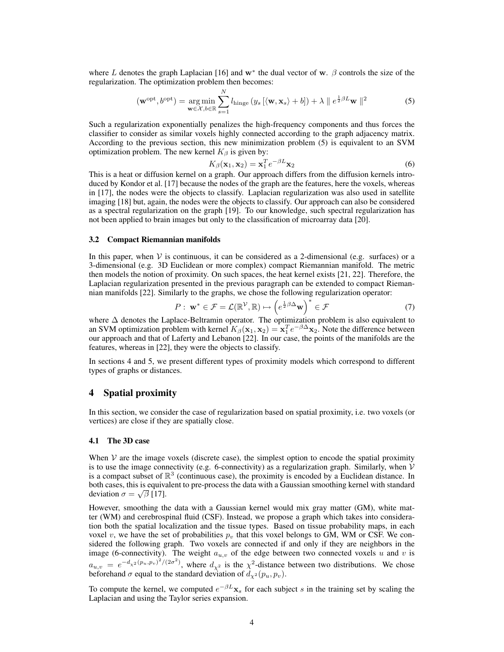where L denotes the graph Laplacian [16] and  $w^*$  the dual vector of w.  $\beta$  controls the size of the regularization. The optimization problem then becomes:

$$
(\mathbf{w}^{\mathrm{opt}}, b^{\mathrm{opt}}) = \underset{\mathbf{w} \in \mathcal{X}, b \in \mathbb{R}}{\arg \min} \sum_{s=1}^{N} l_{\mathrm{hinge}} \left( y_s \left[ \langle \mathbf{w}, \mathbf{x}_s \rangle + b \right] \right) + \lambda \parallel e^{\frac{1}{2}\beta L} \mathbf{w} \parallel^2
$$
 (5)

Such a regularization exponentially penalizes the high-frequency components and thus forces the classifier to consider as similar voxels highly connected according to the graph adjacency matrix. According to the previous section, this new minimization problem (5) is equivalent to an SVM optimization problem. The new kernel  $K_\beta$  is given by:

$$
K_{\beta}(\mathbf{x}_1, \mathbf{x}_2) = \mathbf{x}_1^T e^{-\beta L} \mathbf{x}_2
$$
\n(6)

This is a heat or diffusion kernel on a graph. Our approach differs from the diffusion kernels introduced by Kondor et al. [17] because the nodes of the graph are the features, here the voxels, whereas in [17], the nodes were the objects to classify. Laplacian regularization was also used in satellite imaging [18] but, again, the nodes were the objects to classify. Our approach can also be considered as a spectral regularization on the graph [19]. To our knowledge, such spectral regularization has not been applied to brain images but only to the classification of microarray data [20].

#### 3.2 Compact Riemannian manifolds

In this paper, when  $V$  is continuous, it can be considered as a 2-dimensional (e.g. surfaces) or a 3-dimensional (e.g. 3D Euclidean or more complex) compact Riemannian manifold. The metric then models the notion of proximity. On such spaces, the heat kernel exists [21, 22]. Therefore, the Laplacian regularization presented in the previous paragraph can be extended to compact Riemannian manifolds [22]. Similarly to the graphs, we chose the following regularization operator:

$$
P: \mathbf{w}^* \in \mathcal{F} = \mathcal{L}(\mathbb{R}^\mathcal{V}, \mathbb{R}) \mapsto \left(e^{\frac{1}{2}\beta \Delta} \mathbf{w}\right)^* \in \mathcal{F}
$$
 (7)

where ∆ denotes the Laplace-Beltramin operator. The optimization problem is also equivalent to an SVM optimization problem with kernel  $K_\beta(\mathbf{x}_1, \mathbf{x}_2) = \mathbf{x}_1^T e^{-\beta \Delta} \mathbf{x}_2$ . Note the difference between our approach and that of Laferty and Lebanon [22]. In our case, the points of the manifolds are the features, whereas in [22], they were the objects to classify.

In sections 4 and 5, we present different types of proximity models which correspond to different types of graphs or distances.

# 4 Spatial proximity

In this section, we consider the case of regularization based on spatial proximity, i.e. two voxels (or vertices) are close if they are spatially close.

#### 4.1 The 3D case

When  $V$  are the image voxels (discrete case), the simplest option to encode the spatial proximity is to use the image connectivity (e.g. 6-connectivity) as a regularization graph. Similarly, when  $V$ is a compact subset of  $\mathbb{R}^3$  (continuous case), the proximity is encoded by a Euclidean distance. In both cases, this is equivalent to pre-process the data with a Gaussian smoothing kernel with standard deviation  $\sigma = \sqrt{\beta}$  [17].

However, smoothing the data with a Gaussian kernel would mix gray matter (GM), white matter (WM) and cerebrospinal fluid (CSF). Instead, we propose a graph which takes into consideration both the spatial localization and the tissue types. Based on tissue probability maps, in each voxel v, we have the set of probabilities  $p_v$  that this voxel belongs to GM, WM or CSF. We considered the following graph. Two voxels are connected if and only if they are neighbors in the image (6-connectivity). The weight  $a_{u,v}$  of the edge between two connected voxels u and v is  $a_{u,v} = e^{-d_{\chi^2}(p_u, p_v)^2/(2\sigma^2)}$ , where  $d_{\chi^2}$  is the  $\chi^2$ -distance between two distributions. We chose beforehand  $\sigma$  equal to the standard deviation of  $d_{\chi^2}(p_u, p_v)$ .

To compute the kernel, we computed  $e^{-\beta L} \mathbf{x}_s$  for each subject s in the training set by scaling the Laplacian and using the Taylor series expansion.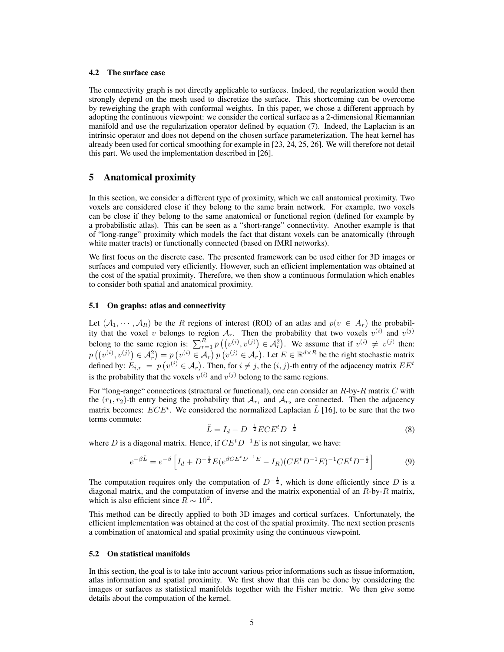#### 4.2 The surface case

The connectivity graph is not directly applicable to surfaces. Indeed, the regularization would then strongly depend on the mesh used to discretize the surface. This shortcoming can be overcome by reweighing the graph with conformal weights. In this paper, we chose a different approach by adopting the continuous viewpoint: we consider the cortical surface as a 2-dimensional Riemannian manifold and use the regularization operator defined by equation (7). Indeed, the Laplacian is an intrinsic operator and does not depend on the chosen surface parameterization. The heat kernel has already been used for cortical smoothing for example in [23, 24, 25, 26]. We will therefore not detail this part. We used the implementation described in [26].

## 5 Anatomical proximity

In this section, we consider a different type of proximity, which we call anatomical proximity. Two voxels are considered close if they belong to the same brain network. For example, two voxels can be close if they belong to the same anatomical or functional region (defined for example by a probabilistic atlas). This can be seen as a "short-range" connectivity. Another example is that of "long-range" proximity which models the fact that distant voxels can be anatomically (through white matter tracts) or functionally connected (based on fMRI networks).

We first focus on the discrete case. The presented framework can be used either for 3D images or surfaces and computed very efficiently. However, such an efficient implementation was obtained at the cost of the spatial proximity. Therefore, we then show a continuous formulation which enables to consider both spatial and anatomical proximity.

#### 5.1 On graphs: atlas and connectivity

Let  $(A_1, \dots, A_R)$  be the R regions of interest (ROI) of an atlas and  $p(v \in A_r)$  the probability that the voxel v belongs to region  $A_r$ . Then the probability that two voxels  $v^{(i)}$  and  $v^{(j)}$ belong to the same region is:  $\sum_{r=1}^{R} p((v^{(i)}, v^{(j)}) \in A_r^2)$ . We assume that if  $v^{(i)} \neq v^{(j)}$  then:  $p((v^{(i)}, v^{(j)}) \in \mathcal{A}_r^2) = p(v^{(i)} \in \mathcal{A}_r) p(v^{(j)} \in \mathcal{A}_r)$ . Let  $E \in \mathbb{R}^{d \times R}$  be the right stochastic matrix defined by:  $E_{i,r} = p(v^{(i)} \in A_r)$ . Then, for  $i \neq j$ , the  $(i, j)$ -th entry of the adjacency matrix  $EE^t$ is the probability that the voxels  $v^{(i)}$  and  $v^{(j)}$  belong to the same regions.

For "long-range" connections (structural or functional), one can consider an  $R$ -by- $R$  matrix  $C$  with the  $(r_1, r_2)$ -th entry being the probability that  $\mathcal{A}_{r_1}$  and  $\mathcal{A}_{r_2}$  are connected. Then the adjacency matrix becomes:  $ECE<sup>t</sup>$ . We considered the normalized Laplacian  $\tilde{L}$  [16], to be sure that the two terms commute:

$$
\tilde{L} = I_d - D^{-\frac{1}{2}} ECE^t D^{-\frac{1}{2}} \tag{8}
$$

where D is a diagonal matrix. Hence, if  $CE<sup>t</sup>D<sup>-1</sup>E$  is not singular, we have:

$$
e^{-\beta \tilde{L}} = e^{-\beta} \left[ I_d + D^{-\frac{1}{2}} E (e^{\beta C E^t D^{-1} E} - I_R) (C E^t D^{-1} E)^{-1} C E^t D^{-\frac{1}{2}} \right]
$$
(9)

The computation requires only the computation of  $D^{-\frac{1}{2}}$ , which is done efficiently since D is a diagonal matrix, and the computation of inverse and the matrix exponential of an  $R$ -by- $R$  matrix, which is also efficient since  $\overline{R} \sim 10^2$ .

This method can be directly applied to both 3D images and cortical surfaces. Unfortunately, the efficient implementation was obtained at the cost of the spatial proximity. The next section presents a combination of anatomical and spatial proximity using the continuous viewpoint.

#### 5.2 On statistical manifolds

In this section, the goal is to take into account various prior informations such as tissue information, atlas information and spatial proximity. We first show that this can be done by considering the images or surfaces as statistical manifolds together with the Fisher metric. We then give some details about the computation of the kernel.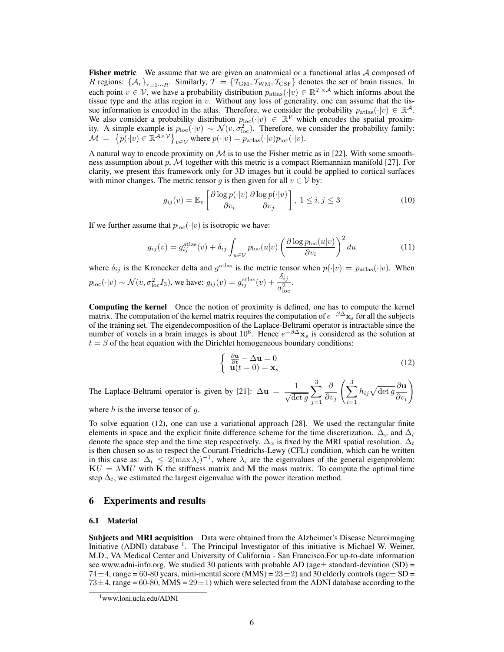Fisher metric We assume that we are given an anatomical or a functional atlas  $A$  composed of R regions:  $\{A_r\}_{r=1\cdots R}$ . Similarly,  $\mathcal{T} = \{T_{\text{GM}}, T_{\text{WM}}, T_{\text{CSF}}\}$  denotes the set of brain tissues. In each point  $v \in V$ , we have a probability distribution  $p_{\text{atlas}}(\cdot|v) \in \mathbb{R}^{T \times A}$  which informs about the tissue type and the atlas region in  $v$ . Without any loss of generality, one can assume that the tissue information is encoded in the atlas. Therefore, we consider the probability  $p_{\text{atlas}}(\cdot | v) \in \mathbb{R}^{\mathcal{A}}$ . We also consider a probability distribution  $p_{\text{loc}}(\cdot|v) \in \mathbb{R}^{\mathcal{V}}$  which encodes the spatial proximity. A simple example is  $p_{\text{loc}}(\cdot|v) \sim \mathcal{N}(v, \sigma_{\text{loc}}^2)$ . Therefore, we consider the probability family:  $\mathcal{M} = \{p(\cdot|v) \in \mathbb{R}^{\mathcal{A} \times \mathcal{V}}\}_{v \in \mathcal{V}}$  where  $p(\cdot|v) = p_{\text{atlas}}(\cdot|v)p_{\text{loc}}(\cdot|v)$ .

A natural way to encode proximity on  $M$  is to use the Fisher metric as in [22]. With some smoothness assumption about p,  $M$  together with this metric is a compact Riemannian manifold [27]. For clarity, we present this framework only for 3D images but it could be applied to cortical surfaces with minor changes. The metric tensor g is then given for all  $v \in V$  by:

$$
g_{ij}(v) = \mathbb{E}_v \left[ \frac{\partial \log p(\cdot | v)}{\partial v_i} \frac{\partial \log p(\cdot | v)}{\partial v_j} \right], \ 1 \le i, j \le 3 \tag{10}
$$

If we further assume that  $p_{\text{loc}}(\cdot|v)$  is isotropic we have:

$$
g_{ij}(v) = g_{ij}^{\text{atlas}}(v) + \delta_{ij} \int_{u \in \mathcal{V}} p_{\text{loc}}(u|v) \left(\frac{\partial \log p_{\text{loc}}(u|v)}{\partial v_i}\right)^2 du \tag{11}
$$

where  $\delta_{ij}$  is the Kronecker delta and  $g^{\text{atlas}}$  is the metric tensor when  $p(\cdot|v) = p_{\text{atlas}}(\cdot|v)$ . When  $p_{\text{loc}}(\cdot|v) \sim \mathcal{N}(v, \sigma_{\text{loc}}^2 I_3)$ , we have:  $g_{ij}(v) = g_{ij}^{\text{atlas}}(v) + \frac{\delta_{ij}}{\sigma_{\text{loc}}^2}$ .

Computing the kernel Once the notion of proximity is defined, one has to compute the kernel matrix. The computation of the kernel matrix requires the computation of  $e^{-\beta \Delta}{\bf x}_s$  for all the subjects of the training set. The eigendecomposition of the Laplace-Beltrami operator is intractable since the number of voxels in a brain images is about 10<sup>6</sup>. Hence  $e^{-\beta \Delta} \mathbf{x}_s$  is considered as the solution at  $t = \beta$  of the heat equation with the Dirichlet homogeneous boundary conditions:

$$
\begin{cases} \frac{\partial \mathbf{u}}{\partial t} - \Delta \mathbf{u} = 0\\ \mathbf{u}(t=0) = \mathbf{x}_s \end{cases}
$$
(12)

The Laplace-Beltrami operator is given by [21]:  $\Delta u = \frac{1}{\sqrt{\det g}}$  $\sum^3$  $j=1$ ∂  $\partial v_j$  $\int \frac{3}{2}$  $i=1$  $h_{ij}\sqrt{\det g}\frac{\partial \mathbf{u}}{\partial \mathbf{u}}$  $\partial v_i$  $\setminus$ 

where  $h$  is the inverse tensor of  $g$ .

To solve equation (12), one can use a variational approach [28]. We used the rectangular finite elements in space and the explicit finite difference scheme for the time discretization.  $\Delta_x$  and  $\Delta_t$ denote the space step and the time step respectively.  $\Delta_x$  is fixed by the MRI spatial resolution.  $\Delta_t$ is then chosen so as to respect the Courant-Friedrichs-Lewy (CFL) condition, which can be written in this case as:  $\Delta_t \leq 2(\max \lambda_i)^{-1}$ , where  $\lambda_i$  are the eigenvalues of the general eigenproblem:  $\mathbf{K}U = \lambda \mathbf{M}U$  with K the stiffness matrix and M the mass matrix. To compute the optimal time step  $\Delta_t$ , we estimated the largest eigenvalue with the power iteration method.

# 6 Experiments and results

#### 6.1 Material

Subjects and MRI acquisition Data were obtained from the Alzheimer's Disease Neuroimaging Initiative (ADNI) database <sup>1</sup>. The Principal Investigator of this initiative is Michael W. Weiner, M.D., VA Medical Center and University of California - San Francisco.For up-to-date information see www.adni-info.org. We studied 30 patients with probable AD (age $\pm$  standard-deviation (SD) =  $74\pm4$ , range = 60-80 years, mini-mental score (MMS) =  $23\pm2$ ) and 30 elderly controls (age  $\pm$  SD =  $73\pm4$ , range = 60-80, MMS =  $29\pm1$ ) which were selected from the ADNI database according to the

<sup>1</sup>www.loni.ucla.edu/ADNI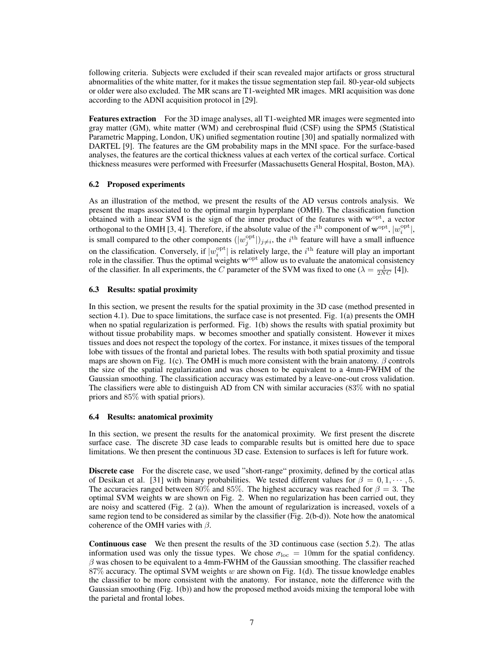following criteria. Subjects were excluded if their scan revealed major artifacts or gross structural abnormalities of the white matter, for it makes the tissue segmentation step fail. 80-year-old subjects or older were also excluded. The MR scans are T1-weighted MR images. MRI acquisition was done according to the ADNI acquisition protocol in [29].

Features extraction For the 3D image analyses, all T1-weighted MR images were segmented into gray matter (GM), white matter (WM) and cerebrospinal fluid (CSF) using the SPM5 (Statistical Parametric Mapping, London, UK) unified segmentation routine [30] and spatially normalized with DARTEL [9]. The features are the GM probability maps in the MNI space. For the surface-based analyses, the features are the cortical thickness values at each vertex of the cortical surface. Cortical thickness measures were performed with Freesurfer (Massachusetts General Hospital, Boston, MA).

## 6.2 Proposed experiments

As an illustration of the method, we present the results of the AD versus controls analysis. We present the maps associated to the optimal margin hyperplane (OMH). The classification function obtained with a linear SVM is the sign of the inner product of the features with  $w^{\text{opt}}$ , a vector orthogonal to the OMH [3, 4]. Therefore, if the absolute value of the *i*<sup>th</sup> component of  $\mathbf{w}^{\text{opt}}, |w_i^{\text{opt}}|$ , is small compared to the other components  $(|w_j^{\text{opt}}|)_{j\neq i}$ , the  $i^{\text{th}}$  feature will have a small influence on the classification. Conversely, if  $|w_i^{\text{opt}}|$  is relatively large, the *i*<sup>th</sup> feature will play an important role in the classifier. Thus the optimal weights  $w^{\text{opt}}$  allow us to evaluate the anatomical consistency of the classifier. In all experiments, the C parameter of the SVM was fixed to one ( $\lambda = \frac{1}{2NC}$  [4]).

## 6.3 Results: spatial proximity

In this section, we present the results for the spatial proximity in the 3D case (method presented in section 4.1). Due to space limitations, the surface case is not presented. Fig. 1(a) presents the OMH when no spatial regularization is performed. Fig. 1(b) shows the results with spatial proximity but without tissue probability maps. w becomes smoother and spatially consistent. However it mixes tissues and does not respect the topology of the cortex. For instance, it mixes tissues of the temporal lobe with tissues of the frontal and parietal lobes. The results with both spatial proximity and tissue maps are shown on Fig. 1(c). The OMH is much more consistent with the brain anatomy.  $\beta$  controls the size of the spatial regularization and was chosen to be equivalent to a 4mm-FWHM of the Gaussian smoothing. The classification accuracy was estimated by a leave-one-out cross validation. The classifiers were able to distinguish AD from CN with similar accuracies (83% with no spatial priors and 85% with spatial priors).

#### 6.4 Results: anatomical proximity

In this section, we present the results for the anatomical proximity. We first present the discrete surface case. The discrete 3D case leads to comparable results but is omitted here due to space limitations. We then present the continuous 3D case. Extension to surfaces is left for future work.

Discrete case For the discrete case, we used "short-range" proximity, defined by the cortical atlas of Desikan et al. [31] with binary probabilities. We tested different values for  $\beta = 0, 1, \dots, 5$ . The accuracies ranged between 80% and 85%. The highest accuracy was reached for  $\beta = 3$ . The optimal SVM weights w are shown on Fig. 2. When no regularization has been carried out, they are noisy and scattered (Fig. 2 (a)). When the amount of regularization is increased, voxels of a same region tend to be considered as similar by the classifier (Fig. 2(b-d)). Note how the anatomical coherence of the OMH varies with  $\beta$ .

Continuous case We then present the results of the 3D continuous case (section 5.2). The atlas information used was only the tissue types. We chose  $\sigma_{\text{loc}} = 10$ mm for the spatial confidency.  $\beta$  was chosen to be equivalent to a 4mm-FWHM of the Gaussian smoothing. The classifier reached 87% accuracy. The optimal SVM weights w are shown on Fig. 1(d). The tissue knowledge enables the classifier to be more consistent with the anatomy. For instance, note the difference with the Gaussian smoothing (Fig. 1(b)) and how the proposed method avoids mixing the temporal lobe with the parietal and frontal lobes.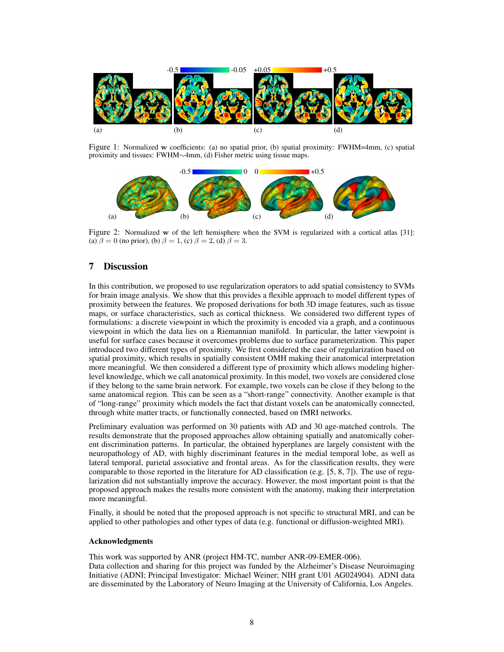

Figure 1: Normalized w coefficients: (a) no spatial prior, (b) spatial proximity: FWHM=4mm, (c) spatial proximity and tissues: FWHM∼4mm, (d) Fisher metric using tissue maps.



Figure 2: Normalized w of the left hemisphere when the SVM is regularized with a cortical atlas [31]: (a)  $\beta = 0$  (no prior), (b)  $\beta = 1$ , (c)  $\beta = 2$ , (d)  $\beta = 3$ .

# 7 Discussion

In this contribution, we proposed to use regularization operators to add spatial consistency to SVMs for brain image analysis. We show that this provides a flexible approach to model different types of proximity between the features. We proposed derivations for both 3D image features, such as tissue maps, or surface characteristics, such as cortical thickness. We considered two different types of formulations: a discrete viewpoint in which the proximity is encoded via a graph, and a continuous viewpoint in which the data lies on a Riemannian manifold. In particular, the latter viewpoint is useful for surface cases because it overcomes problems due to surface parameterization. This paper introduced two different types of proximity. We first considered the case of regularization based on spatial proximity, which results in spatially consistent OMH making their anatomical interpretation more meaningful. We then considered a different type of proximity which allows modeling higherlevel knowledge, which we call anatomical proximity. In this model, two voxels are considered close if they belong to the same brain network. For example, two voxels can be close if they belong to the same anatomical region. This can be seen as a "short-range" connectivity. Another example is that of "long-range" proximity which models the fact that distant voxels can be anatomically connected, through white matter tracts, or functionally connected, based on fMRI networks.

Preliminary evaluation was performed on 30 patients with AD and 30 age-matched controls. The results demonstrate that the proposed approaches allow obtaining spatially and anatomically coherent discrimination patterns. In particular, the obtained hyperplanes are largely consistent with the neuropathology of AD, with highly discriminant features in the medial temporal lobe, as well as lateral temporal, parietal associative and frontal areas. As for the classification results, they were comparable to those reported in the literature for AD classification (e.g. [5, 8, 7]). The use of regularization did not substantially improve the accuracy. However, the most important point is that the proposed approach makes the results more consistent with the anatomy, making their interpretation more meaningful.

Finally, it should be noted that the proposed approach is not specific to structural MRI, and can be applied to other pathologies and other types of data (e.g. functional or diffusion-weighted MRI).

#### Acknowledgments

This work was supported by ANR (project HM-TC, number ANR-09-EMER-006). Data collection and sharing for this project was funded by the Alzheimer's Disease Neuroimaging Initiative (ADNI; Principal Investigator: Michael Weiner; NIH grant U01 AG024904). ADNI data are disseminated by the Laboratory of Neuro Imaging at the University of California, Los Angeles.